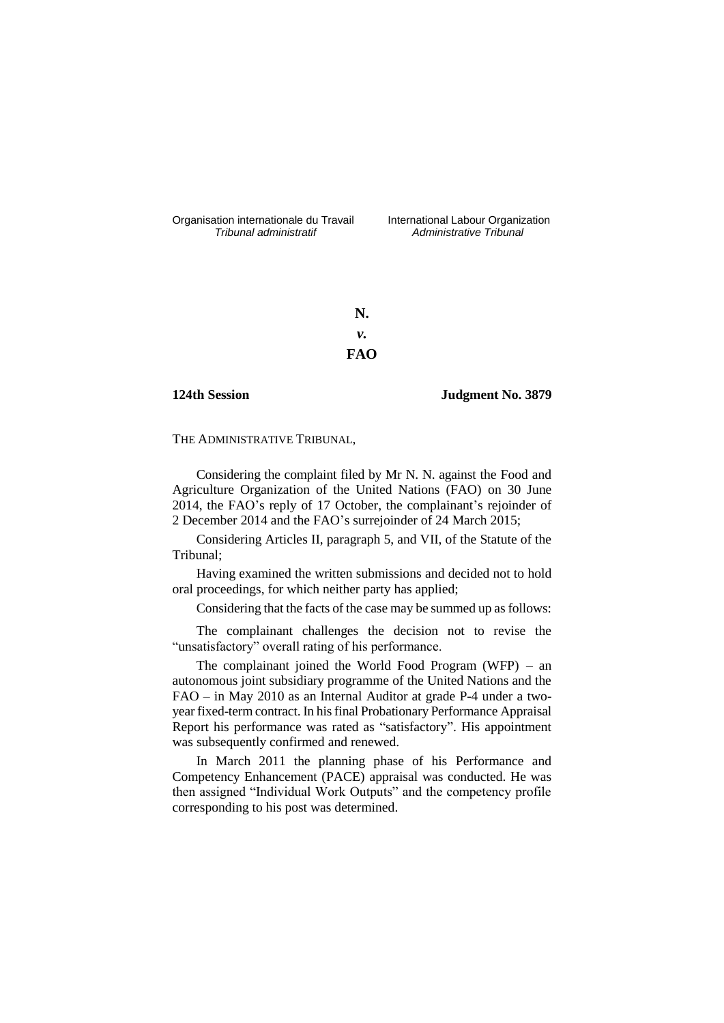Organisation internationale du Travail liternational Labour Organization<br> *Tribunal administratif Administrative Tribunal* 

*Tribunal administratif Administrative Tribunal*

**N.** *v.* **FAO**

**124th Session Judgment No. 3879**

THE ADMINISTRATIVE TRIBUNAL,

Considering the complaint filed by Mr N. N. against the Food and Agriculture Organization of the United Nations (FAO) on 30 June 2014, the FAO's reply of 17 October, the complainant's rejoinder of 2 December 2014 and the FAO's surrejoinder of 24 March 2015;

Considering Articles II, paragraph 5, and VII, of the Statute of the Tribunal;

Having examined the written submissions and decided not to hold oral proceedings, for which neither party has applied;

Considering that the facts of the case may be summed up as follows:

The complainant challenges the decision not to revise the "unsatisfactory" overall rating of his performance.

The complainant joined the World Food Program (WFP) – an autonomous joint subsidiary programme of the United Nations and the FAO – in May 2010 as an Internal Auditor at grade P-4 under a twoyear fixed-term contract. In his final Probationary Performance Appraisal Report his performance was rated as "satisfactory". His appointment was subsequently confirmed and renewed.

In March 2011 the planning phase of his Performance and Competency Enhancement (PACE) appraisal was conducted. He was then assigned "Individual Work Outputs" and the competency profile corresponding to his post was determined.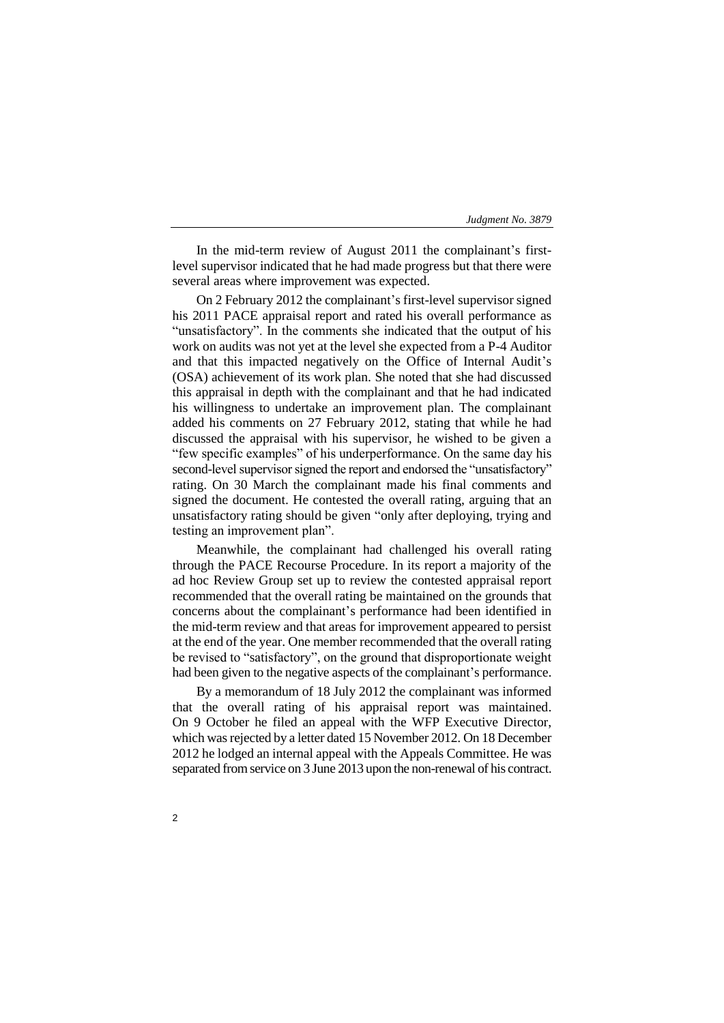In the mid-term review of August 2011 the complainant's firstlevel supervisor indicated that he had made progress but that there were several areas where improvement was expected.

On 2 February 2012 the complainant's first-level supervisor signed his 2011 PACE appraisal report and rated his overall performance as "unsatisfactory". In the comments she indicated that the output of his work on audits was not yet at the level she expected from a P-4 Auditor and that this impacted negatively on the Office of Internal Audit's (OSA) achievement of its work plan. She noted that she had discussed this appraisal in depth with the complainant and that he had indicated his willingness to undertake an improvement plan. The complainant added his comments on 27 February 2012, stating that while he had discussed the appraisal with his supervisor, he wished to be given a "few specific examples" of his underperformance. On the same day his second-level supervisor signed the report and endorsed the "unsatisfactory" rating. On 30 March the complainant made his final comments and signed the document. He contested the overall rating, arguing that an unsatisfactory rating should be given "only after deploying, trying and testing an improvement plan".

Meanwhile, the complainant had challenged his overall rating through the PACE Recourse Procedure. In its report a majority of the ad hoc Review Group set up to review the contested appraisal report recommended that the overall rating be maintained on the grounds that concerns about the complainant's performance had been identified in the mid-term review and that areas for improvement appeared to persist at the end of the year. One member recommended that the overall rating be revised to "satisfactory", on the ground that disproportionate weight had been given to the negative aspects of the complainant's performance.

By a memorandum of 18 July 2012 the complainant was informed that the overall rating of his appraisal report was maintained. On 9 October he filed an appeal with the WFP Executive Director, which was rejected by a letter dated 15 November 2012. On 18 December 2012 he lodged an internal appeal with the Appeals Committee. He was separated from service on 3 June 2013 upon the non-renewal of his contract.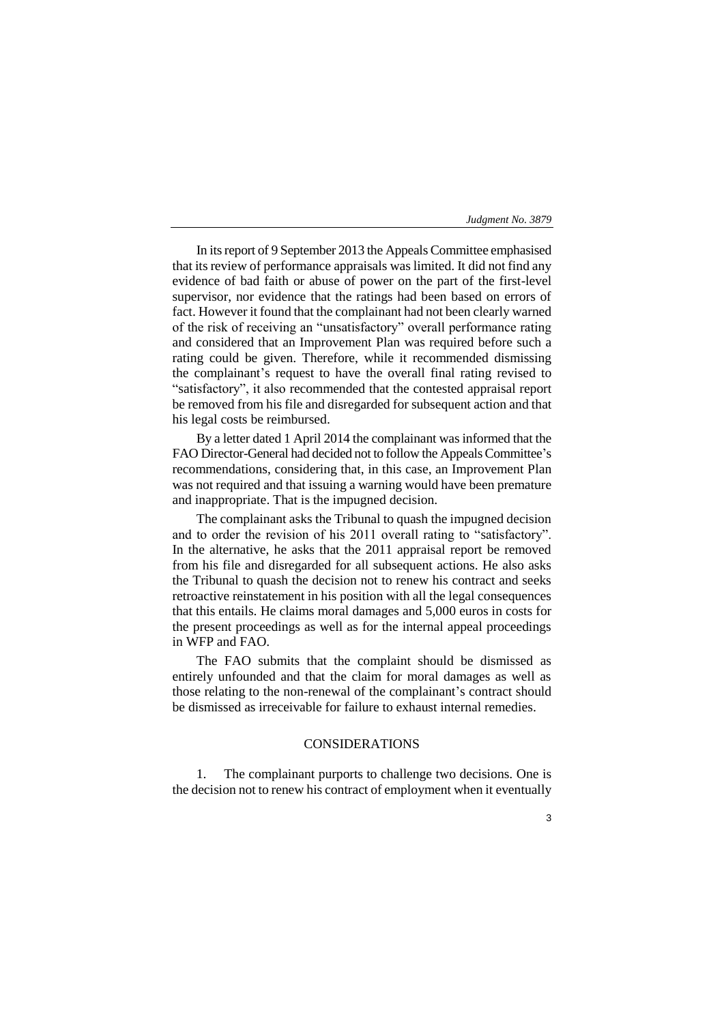3

In its report of 9 September 2013 the Appeals Committee emphasised that its review of performance appraisals was limited. It did not find any evidence of bad faith or abuse of power on the part of the first-level supervisor, nor evidence that the ratings had been based on errors of fact. However it found that the complainant had not been clearly warned of the risk of receiving an "unsatisfactory" overall performance rating and considered that an Improvement Plan was required before such a rating could be given. Therefore, while it recommended dismissing the complainant's request to have the overall final rating revised to "satisfactory", it also recommended that the contested appraisal report be removed from his file and disregarded for subsequent action and that his legal costs be reimbursed.

By a letter dated 1 April 2014 the complainant was informed that the FAO Director-General had decided not to follow the Appeals Committee's recommendations, considering that, in this case, an Improvement Plan was not required and that issuing a warning would have been premature and inappropriate. That is the impugned decision.

The complainant asks the Tribunal to quash the impugned decision and to order the revision of his 2011 overall rating to "satisfactory". In the alternative, he asks that the 2011 appraisal report be removed from his file and disregarded for all subsequent actions. He also asks the Tribunal to quash the decision not to renew his contract and seeks retroactive reinstatement in his position with all the legal consequences that this entails. He claims moral damages and 5,000 euros in costs for the present proceedings as well as for the internal appeal proceedings in WFP and FAO.

The FAO submits that the complaint should be dismissed as entirely unfounded and that the claim for moral damages as well as those relating to the non-renewal of the complainant's contract should be dismissed as irreceivable for failure to exhaust internal remedies.

# CONSIDERATIONS

1. The complainant purports to challenge two decisions. One is the decision not to renew his contract of employment when it eventually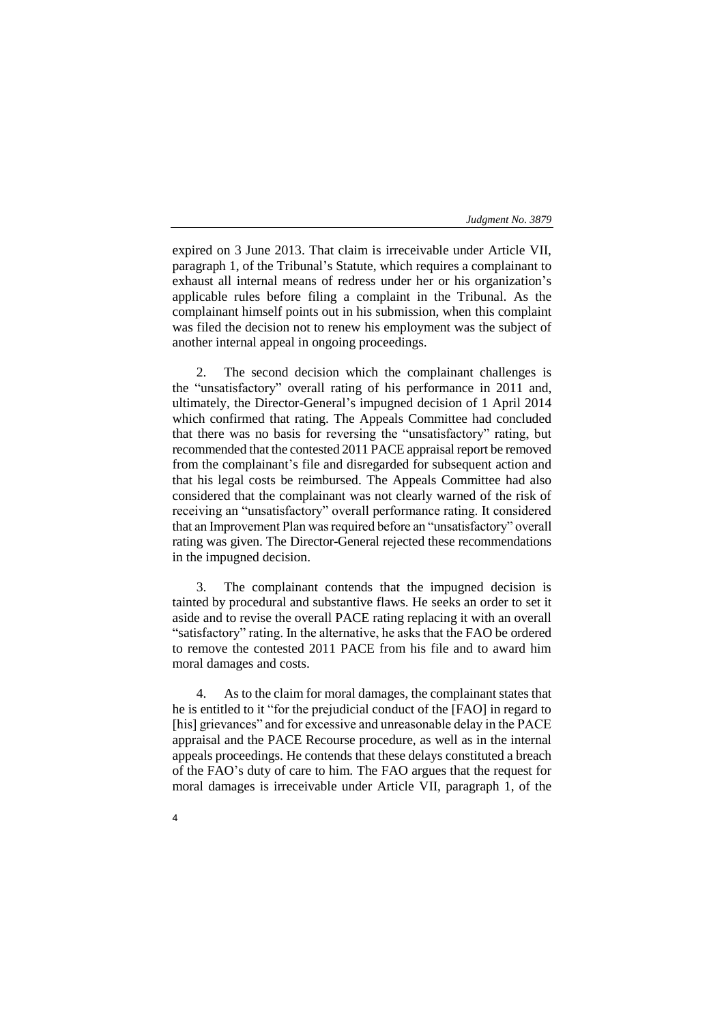expired on 3 June 2013. That claim is irreceivable under Article VII, paragraph 1, of the Tribunal's Statute, which requires a complainant to exhaust all internal means of redress under her or his organization's applicable rules before filing a complaint in the Tribunal. As the complainant himself points out in his submission, when this complaint was filed the decision not to renew his employment was the subject of another internal appeal in ongoing proceedings.

2. The second decision which the complainant challenges is the "unsatisfactory" overall rating of his performance in 2011 and, ultimately, the Director-General's impugned decision of 1 April 2014 which confirmed that rating. The Appeals Committee had concluded that there was no basis for reversing the "unsatisfactory" rating, but recommended that the contested 2011 PACE appraisal report be removed from the complainant's file and disregarded for subsequent action and that his legal costs be reimbursed. The Appeals Committee had also considered that the complainant was not clearly warned of the risk of receiving an "unsatisfactory" overall performance rating. It considered that an Improvement Plan was required before an "unsatisfactory" overall rating was given. The Director-General rejected these recommendations in the impugned decision.

3. The complainant contends that the impugned decision is tainted by procedural and substantive flaws. He seeks an order to set it aside and to revise the overall PACE rating replacing it with an overall "satisfactory" rating. In the alternative, he asks that the FAO be ordered to remove the contested 2011 PACE from his file and to award him moral damages and costs.

4. As to the claim for moral damages, the complainant states that he is entitled to it "for the prejudicial conduct of the [FAO] in regard to [his] grievances" and for excessive and unreasonable delay in the PACE appraisal and the PACE Recourse procedure, as well as in the internal appeals proceedings. He contends that these delays constituted a breach of the FAO's duty of care to him. The FAO argues that the request for moral damages is irreceivable under Article VII, paragraph 1, of the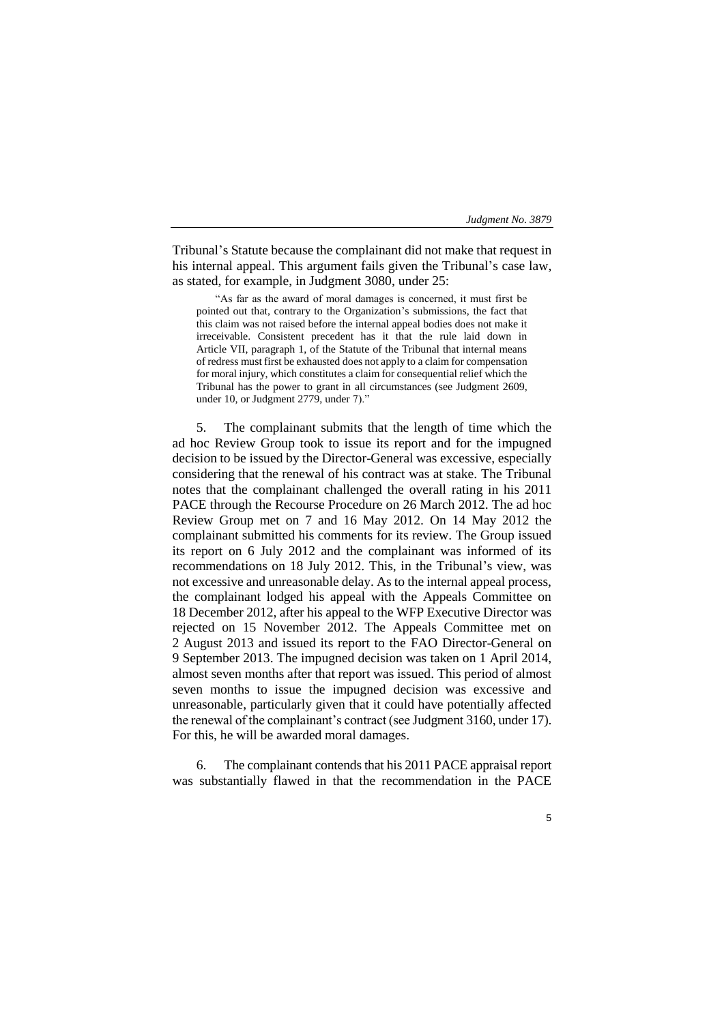Tribunal's Statute because the complainant did not make that request in his internal appeal. This argument fails given the Tribunal's case law, as stated, for example, in Judgment 3080, under 25:

"As far as the award of moral damages is concerned, it must first be pointed out that, contrary to the Organization's submissions, the fact that this claim was not raised before the internal appeal bodies does not make it irreceivable. Consistent precedent has it that the rule laid down in Article VII, paragraph 1, of the Statute of the Tribunal that internal means of redress must first be exhausted does not apply to a claim for compensation for moral injury, which constitutes a claim for consequential relief which the Tribunal has the power to grant in all circumstances (see Judgment 2609, under 10, or Judgment 2779, under 7)."

5. The complainant submits that the length of time which the ad hoc Review Group took to issue its report and for the impugned decision to be issued by the Director-General was excessive, especially considering that the renewal of his contract was at stake. The Tribunal notes that the complainant challenged the overall rating in his 2011 PACE through the Recourse Procedure on 26 March 2012. The ad hoc Review Group met on 7 and 16 May 2012. On 14 May 2012 the complainant submitted his comments for its review. The Group issued its report on 6 July 2012 and the complainant was informed of its recommendations on 18 July 2012. This, in the Tribunal's view, was not excessive and unreasonable delay. As to the internal appeal process, the complainant lodged his appeal with the Appeals Committee on 18 December 2012, after his appeal to the WFP Executive Director was rejected on 15 November 2012. The Appeals Committee met on 2 August 2013 and issued its report to the FAO Director-General on 9 September 2013. The impugned decision was taken on 1 April 2014, almost seven months after that report was issued. This period of almost seven months to issue the impugned decision was excessive and unreasonable, particularly given that it could have potentially affected the renewal of the complainant's contract (see Judgment 3160, under 17). For this, he will be awarded moral damages.

6. The complainant contends that his 2011 PACE appraisal report was substantially flawed in that the recommendation in the PACE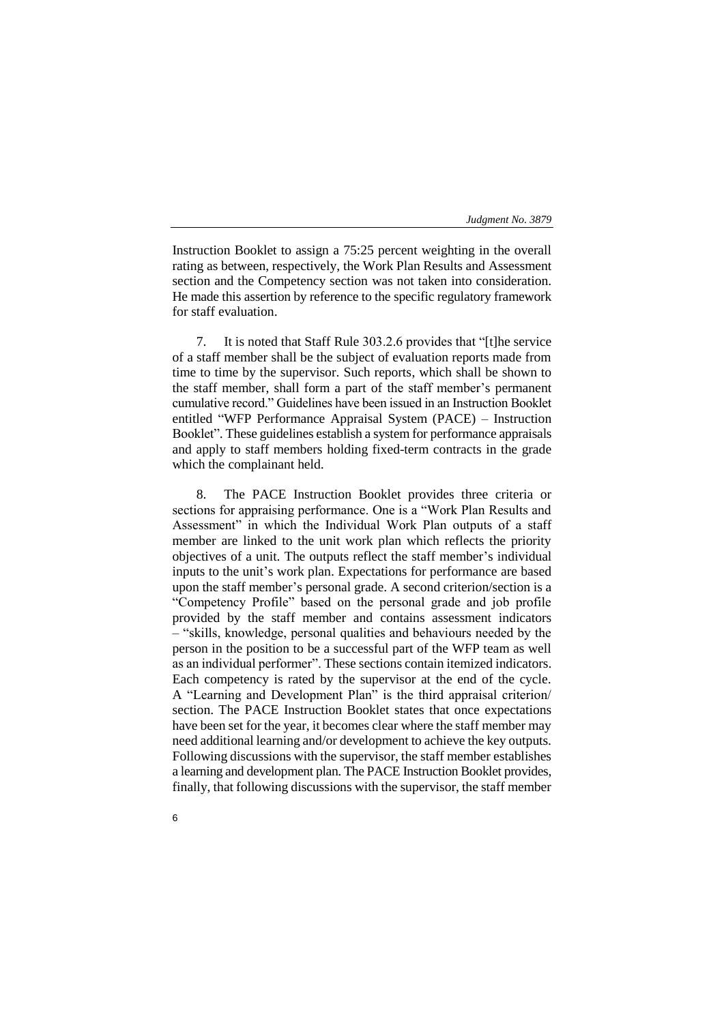Instruction Booklet to assign a 75:25 percent weighting in the overall rating as between, respectively, the Work Plan Results and Assessment section and the Competency section was not taken into consideration. He made this assertion by reference to the specific regulatory framework for staff evaluation.

7. It is noted that Staff Rule 303.2.6 provides that "[t]he service of a staff member shall be the subject of evaluation reports made from time to time by the supervisor. Such reports, which shall be shown to the staff member, shall form a part of the staff member's permanent cumulative record." Guidelines have been issued in an Instruction Booklet entitled "WFP Performance Appraisal System (PACE) – Instruction Booklet". These guidelines establish a system for performance appraisals and apply to staff members holding fixed-term contracts in the grade which the complainant held.

8. The PACE Instruction Booklet provides three criteria or sections for appraising performance. One is a "Work Plan Results and Assessment" in which the Individual Work Plan outputs of a staff member are linked to the unit work plan which reflects the priority objectives of a unit. The outputs reflect the staff member's individual inputs to the unit's work plan. Expectations for performance are based upon the staff member's personal grade. A second criterion/section is a "Competency Profile" based on the personal grade and job profile provided by the staff member and contains assessment indicators – "skills, knowledge, personal qualities and behaviours needed by the person in the position to be a successful part of the WFP team as well as an individual performer". These sections contain itemized indicators. Each competency is rated by the supervisor at the end of the cycle. A "Learning and Development Plan" is the third appraisal criterion/ section. The PACE Instruction Booklet states that once expectations have been set for the year, it becomes clear where the staff member may need additional learning and/or development to achieve the key outputs. Following discussions with the supervisor, the staff member establishes a learning and development plan. The PACE Instruction Booklet provides, finally, that following discussions with the supervisor, the staff member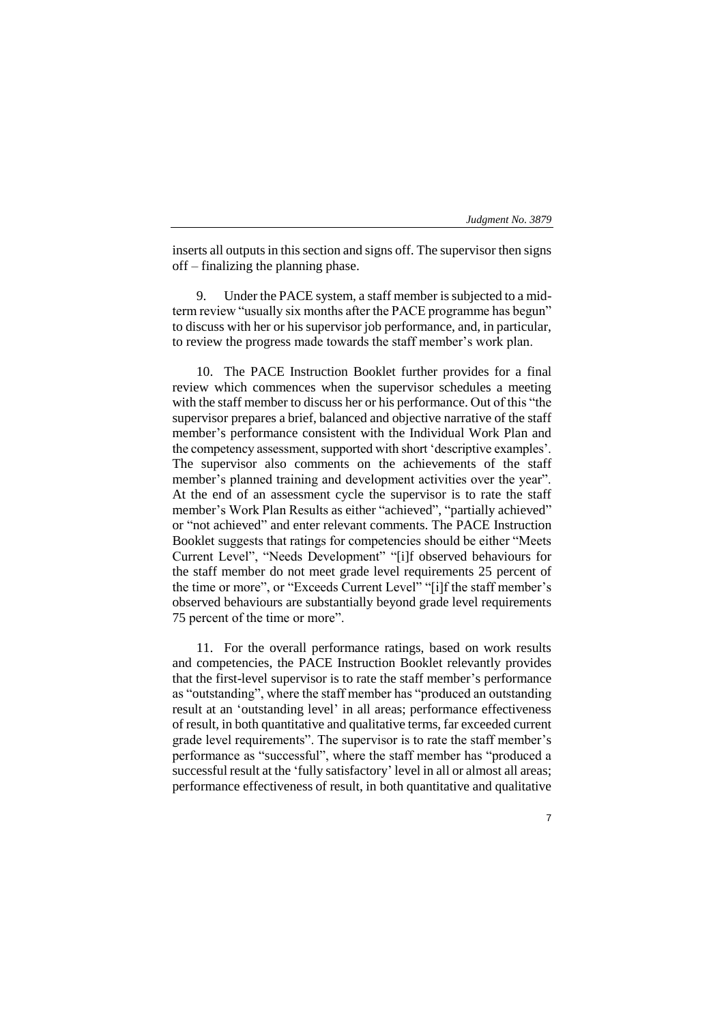inserts all outputs in this section and signs off. The supervisor then signs off – finalizing the planning phase.

Under the PACE system, a staff member is subjected to a midterm review "usually six months after the PACE programme has begun" to discuss with her or his supervisor job performance, and, in particular, to review the progress made towards the staff member's work plan.

10. The PACE Instruction Booklet further provides for a final review which commences when the supervisor schedules a meeting with the staff member to discuss her or his performance. Out of this "the supervisor prepares a brief, balanced and objective narrative of the staff member's performance consistent with the Individual Work Plan and the competency assessment, supported with short 'descriptive examples'. The supervisor also comments on the achievements of the staff member's planned training and development activities over the year". At the end of an assessment cycle the supervisor is to rate the staff member's Work Plan Results as either "achieved", "partially achieved" or "not achieved" and enter relevant comments. The PACE Instruction Booklet suggests that ratings for competencies should be either "Meets Current Level", "Needs Development" "[i]f observed behaviours for the staff member do not meet grade level requirements 25 percent of the time or more", or "Exceeds Current Level" "[i]f the staff member's observed behaviours are substantially beyond grade level requirements 75 percent of the time or more".

11. For the overall performance ratings, based on work results and competencies, the PACE Instruction Booklet relevantly provides that the first-level supervisor is to rate the staff member's performance as "outstanding", where the staff member has "produced an outstanding result at an 'outstanding level' in all areas; performance effectiveness of result, in both quantitative and qualitative terms, far exceeded current grade level requirements". The supervisor is to rate the staff member's performance as "successful", where the staff member has "produced a successful result at the 'fully satisfactory' level in all or almost all areas; performance effectiveness of result, in both quantitative and qualitative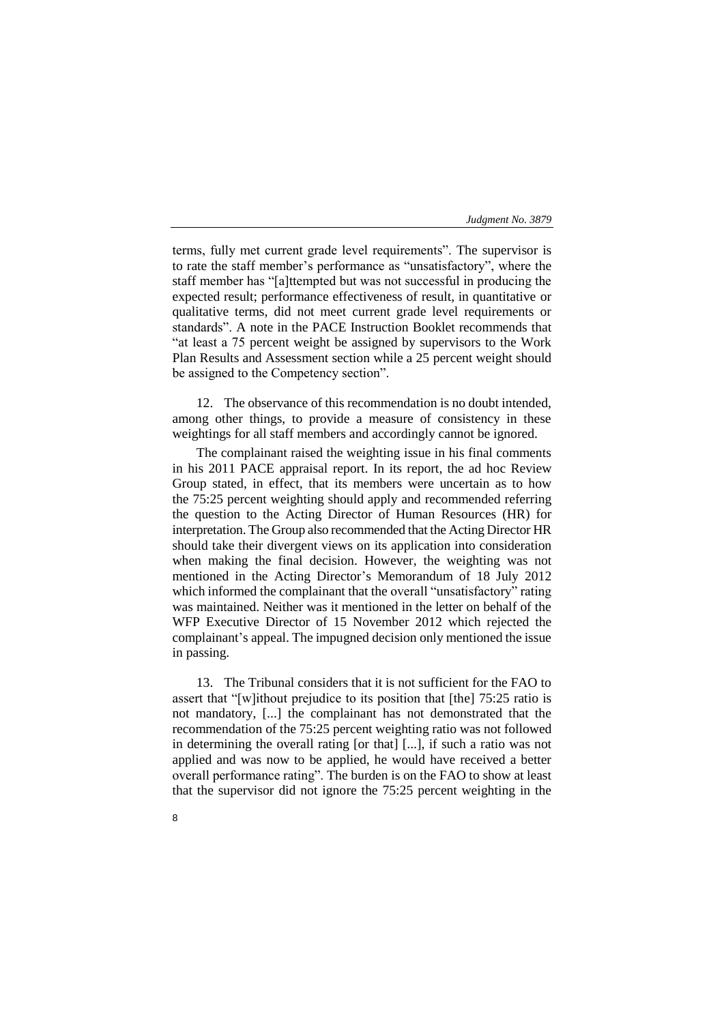terms, fully met current grade level requirements". The supervisor is to rate the staff member's performance as "unsatisfactory", where the staff member has "[a]ttempted but was not successful in producing the expected result; performance effectiveness of result, in quantitative or qualitative terms, did not meet current grade level requirements or standards". A note in the PACE Instruction Booklet recommends that "at least a 75 percent weight be assigned by supervisors to the Work Plan Results and Assessment section while a 25 percent weight should be assigned to the Competency section".

12. The observance of this recommendation is no doubt intended, among other things, to provide a measure of consistency in these weightings for all staff members and accordingly cannot be ignored.

The complainant raised the weighting issue in his final comments in his 2011 PACE appraisal report. In its report, the ad hoc Review Group stated, in effect, that its members were uncertain as to how the 75:25 percent weighting should apply and recommended referring the question to the Acting Director of Human Resources (HR) for interpretation. The Group also recommended that the Acting Director HR should take their divergent views on its application into consideration when making the final decision. However, the weighting was not mentioned in the Acting Director's Memorandum of 18 July 2012 which informed the complainant that the overall "unsatisfactory" rating was maintained. Neither was it mentioned in the letter on behalf of the WFP Executive Director of 15 November 2012 which rejected the complainant's appeal. The impugned decision only mentioned the issue in passing.

13. The Tribunal considers that it is not sufficient for the FAO to assert that "[w]ithout prejudice to its position that [the] 75:25 ratio is not mandatory, [...] the complainant has not demonstrated that the recommendation of the 75:25 percent weighting ratio was not followed in determining the overall rating [or that] [...], if such a ratio was not applied and was now to be applied, he would have received a better overall performance rating". The burden is on the FAO to show at least that the supervisor did not ignore the 75:25 percent weighting in the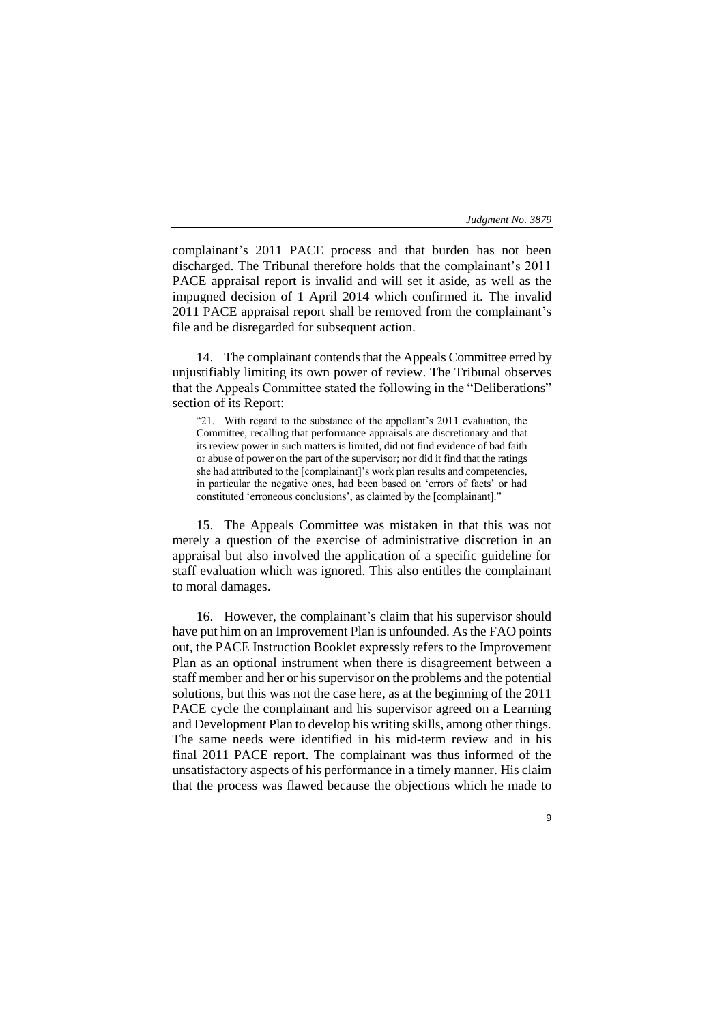complainant's 2011 PACE process and that burden has not been discharged. The Tribunal therefore holds that the complainant's 2011 PACE appraisal report is invalid and will set it aside, as well as the impugned decision of 1 April 2014 which confirmed it. The invalid 2011 PACE appraisal report shall be removed from the complainant's file and be disregarded for subsequent action.

14. The complainant contends that the Appeals Committee erred by unjustifiably limiting its own power of review. The Tribunal observes that the Appeals Committee stated the following in the "Deliberations" section of its Report:

"21. With regard to the substance of the appellant's 2011 evaluation, the Committee, recalling that performance appraisals are discretionary and that its review power in such matters is limited, did not find evidence of bad faith or abuse of power on the part of the supervisor; nor did it find that the ratings she had attributed to the [complainant]'s work plan results and competencies, in particular the negative ones, had been based on 'errors of facts' or had constituted 'erroneous conclusions', as claimed by the [complainant]."

15. The Appeals Committee was mistaken in that this was not merely a question of the exercise of administrative discretion in an appraisal but also involved the application of a specific guideline for staff evaluation which was ignored. This also entitles the complainant to moral damages.

16. However, the complainant's claim that his supervisor should have put him on an Improvement Plan is unfounded. As the FAO points out, the PACE Instruction Booklet expressly refers to the Improvement Plan as an optional instrument when there is disagreement between a staff member and her or his supervisor on the problems and the potential solutions, but this was not the case here, as at the beginning of the 2011 PACE cycle the complainant and his supervisor agreed on a Learning and Development Plan to develop his writing skills, among other things. The same needs were identified in his mid-term review and in his final 2011 PACE report. The complainant was thus informed of the unsatisfactory aspects of his performance in a timely manner. His claim that the process was flawed because the objections which he made to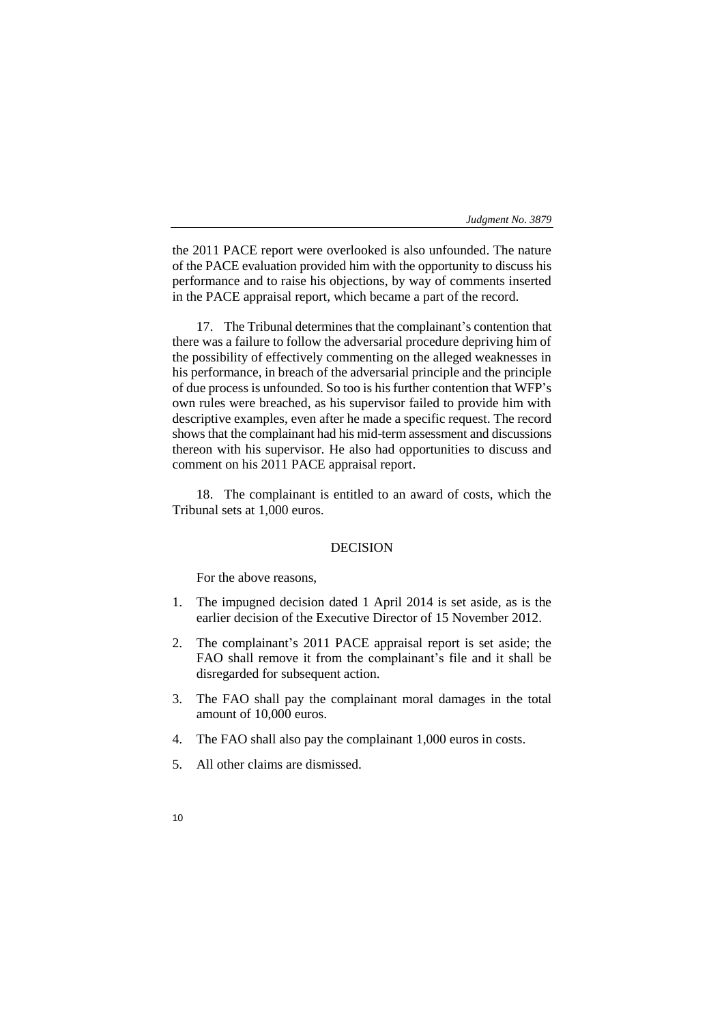the 2011 PACE report were overlooked is also unfounded. The nature of the PACE evaluation provided him with the opportunity to discuss his performance and to raise his objections, by way of comments inserted in the PACE appraisal report, which became a part of the record.

17. The Tribunal determines that the complainant's contention that there was a failure to follow the adversarial procedure depriving him of the possibility of effectively commenting on the alleged weaknesses in his performance, in breach of the adversarial principle and the principle of due process is unfounded. So too is his further contention that WFP's own rules were breached, as his supervisor failed to provide him with descriptive examples, even after he made a specific request. The record shows that the complainant had his mid-term assessment and discussions thereon with his supervisor. He also had opportunities to discuss and comment on his 2011 PACE appraisal report.

18. The complainant is entitled to an award of costs, which the Tribunal sets at 1,000 euros.

## DECISION

For the above reasons,

- 1. The impugned decision dated 1 April 2014 is set aside, as is the earlier decision of the Executive Director of 15 November 2012.
- 2. The complainant's 2011 PACE appraisal report is set aside; the FAO shall remove it from the complainant's file and it shall be disregarded for subsequent action.
- 3. The FAO shall pay the complainant moral damages in the total amount of 10,000 euros.
- 4. The FAO shall also pay the complainant 1,000 euros in costs.
- 5. All other claims are dismissed.
- 10